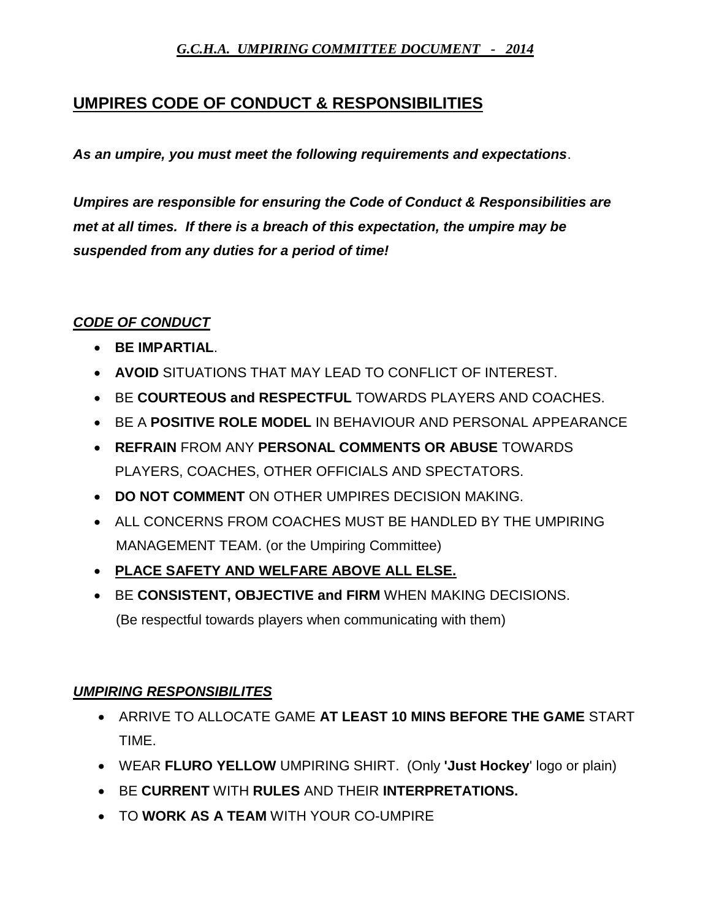## *G.C.H.A. UMPIRING COMMITTEE DOCUMENT - 2014*

## **UMPIRES CODE OF CONDUCT & RESPONSIBILITIES**

*As an umpire, you must meet the following requirements and expectations*.

*Umpires are responsible for ensuring the Code of Conduct & Responsibilities are met at all times. If there is a breach of this expectation, the umpire may be suspended from any duties for a period of time!*

## *CODE OF CONDUCT*

- **BE IMPARTIAL**.
- **AVOID** SITUATIONS THAT MAY LEAD TO CONFLICT OF INTEREST.
- BE **COURTEOUS and RESPECTFUL** TOWARDS PLAYERS AND COACHES.
- BE A **POSITIVE ROLE MODEL** IN BEHAVIOUR AND PERSONAL APPEARANCE
- **REFRAIN** FROM ANY **PERSONAL COMMENTS OR ABUSE** TOWARDS PLAYERS, COACHES, OTHER OFFICIALS AND SPECTATORS.
- **DO NOT COMMENT** ON OTHER UMPIRES DECISION MAKING.
- ALL CONCERNS FROM COACHES MUST BE HANDLED BY THE UMPIRING MANAGEMENT TEAM. (or the Umpiring Committee)
- **PLACE SAFETY AND WELFARE ABOVE ALL ELSE.**
- BE **CONSISTENT, OBJECTIVE and FIRM** WHEN MAKING DECISIONS. (Be respectful towards players when communicating with them)

## *UMPIRING RESPONSIBILITES*

- ARRIVE TO ALLOCATE GAME **AT LEAST 10 MINS BEFORE THE GAME** START TIME.
- WEAR **FLURO YELLOW** UMPIRING SHIRT. (Only **'Just Hockey**' logo or plain)
- BE **CURRENT** WITH **RULES** AND THEIR **INTERPRETATIONS.**
- TO **WORK AS A TEAM** WITH YOUR CO-UMPIRE